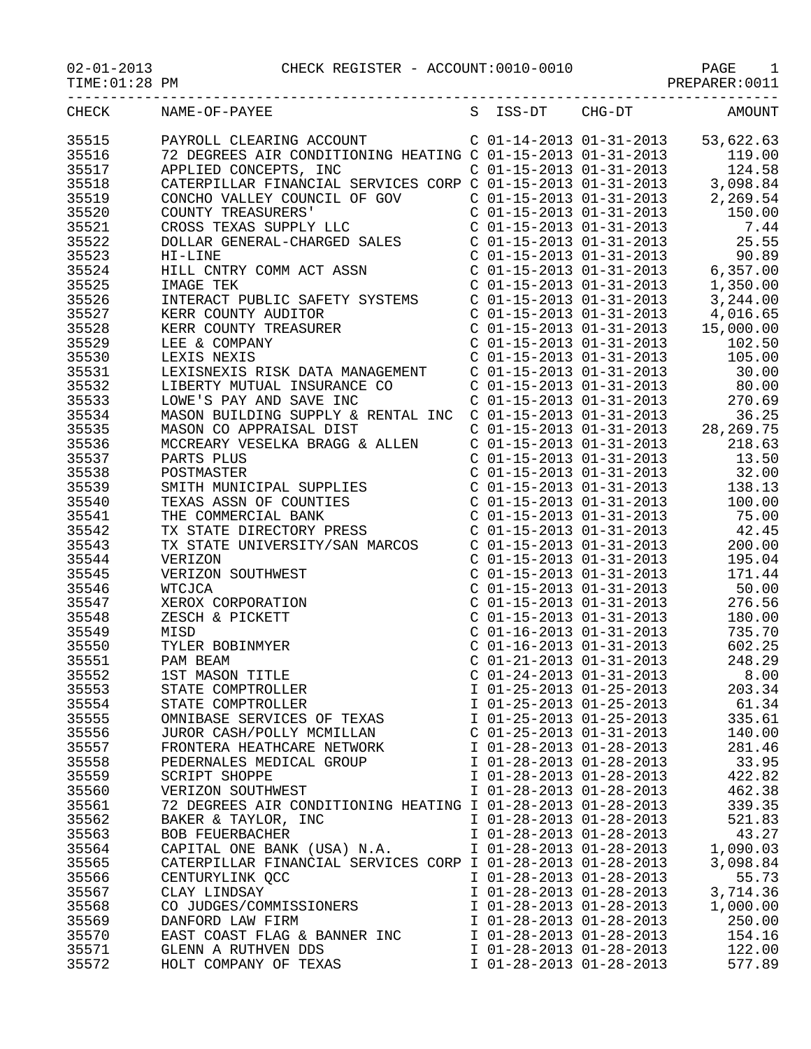TIME:01:28 PM PREPARER:0011

| CHECK | S ISS-DT CHG-DT AMOUNT<br>NAME-OF-PAYEE                     |                           |                           |                                                                                                                                                                                                   |
|-------|-------------------------------------------------------------|---------------------------|---------------------------|---------------------------------------------------------------------------------------------------------------------------------------------------------------------------------------------------|
| 35515 |                                                             |                           |                           |                                                                                                                                                                                                   |
|       |                                                             |                           |                           |                                                                                                                                                                                                   |
| 35516 |                                                             |                           |                           |                                                                                                                                                                                                   |
| 35517 |                                                             |                           |                           |                                                                                                                                                                                                   |
| 35518 |                                                             |                           |                           |                                                                                                                                                                                                   |
| 35519 |                                                             |                           |                           |                                                                                                                                                                                                   |
| 35520 |                                                             |                           |                           |                                                                                                                                                                                                   |
| 35521 |                                                             |                           |                           |                                                                                                                                                                                                   |
| 35522 |                                                             |                           |                           |                                                                                                                                                                                                   |
| 35523 |                                                             |                           |                           |                                                                                                                                                                                                   |
| 35524 |                                                             |                           |                           |                                                                                                                                                                                                   |
| 35525 |                                                             |                           |                           |                                                                                                                                                                                                   |
| 35526 |                                                             |                           |                           |                                                                                                                                                                                                   |
| 35527 |                                                             |                           |                           |                                                                                                                                                                                                   |
| 35528 |                                                             |                           |                           |                                                                                                                                                                                                   |
| 35529 |                                                             |                           |                           |                                                                                                                                                                                                   |
|       |                                                             |                           |                           |                                                                                                                                                                                                   |
| 35530 |                                                             |                           |                           |                                                                                                                                                                                                   |
| 35531 |                                                             |                           |                           |                                                                                                                                                                                                   |
| 35532 |                                                             |                           |                           |                                                                                                                                                                                                   |
| 35533 |                                                             |                           |                           |                                                                                                                                                                                                   |
| 35534 |                                                             |                           |                           |                                                                                                                                                                                                   |
| 35535 |                                                             |                           |                           |                                                                                                                                                                                                   |
| 35536 |                                                             |                           |                           |                                                                                                                                                                                                   |
| 35537 |                                                             |                           |                           |                                                                                                                                                                                                   |
| 35538 |                                                             |                           |                           |                                                                                                                                                                                                   |
| 35539 |                                                             |                           |                           |                                                                                                                                                                                                   |
| 35540 |                                                             |                           |                           |                                                                                                                                                                                                   |
| 35541 |                                                             |                           |                           |                                                                                                                                                                                                   |
| 35542 |                                                             |                           |                           |                                                                                                                                                                                                   |
| 35543 |                                                             |                           |                           |                                                                                                                                                                                                   |
| 35544 |                                                             |                           |                           |                                                                                                                                                                                                   |
| 35545 |                                                             |                           |                           |                                                                                                                                                                                                   |
|       |                                                             |                           |                           |                                                                                                                                                                                                   |
| 35546 |                                                             |                           |                           |                                                                                                                                                                                                   |
| 35547 | XEROX CORPORATION                                           |                           | $C$ 01-15-2013 01-31-2013 | 276.56                                                                                                                                                                                            |
| 35548 | ZESCH & PICKETT                                             |                           |                           | C 01-15-2013 01-31-2013<br>C 01-16-2013 01-31-2013<br>C 01-16-2013 01-31-2013<br>C 01-21-2013 01-31-2013<br>C 01-24-2013 01-31-2013<br>C 01-24-2013 01-31-2013<br>C 01-24-2013 01-31-2013<br>8.00 |
| 35549 | MISD                                                        |                           |                           |                                                                                                                                                                                                   |
| 35550 | TYLER BOBINMYER                                             |                           |                           |                                                                                                                                                                                                   |
| 35551 | PAM BEAM                                                    |                           |                           |                                                                                                                                                                                                   |
| 35552 | 1ST MASON TITLE                                             |                           |                           |                                                                                                                                                                                                   |
| 35553 | STATE COMPTROLLER                                           |                           | I 01-25-2013 01-25-2013   | 203.34                                                                                                                                                                                            |
| 35554 | STATE COMPTROLLER                                           | I 01-25-2013 01-25-2013   |                           | 61.34                                                                                                                                                                                             |
| 35555 | OMNIBASE SERVICES OF TEXAS                                  | I 01-25-2013 01-25-2013   |                           | 335.61                                                                                                                                                                                            |
| 35556 | JUROR CASH/POLLY MCMILLAN                                   | $C$ 01-25-2013 01-31-2013 |                           | 140.00                                                                                                                                                                                            |
| 35557 | FRONTERA HEATHCARE NETWORK                                  | I 01-28-2013 01-28-2013   |                           | 281.46                                                                                                                                                                                            |
| 35558 | PEDERNALES MEDICAL GROUP                                    | I 01-28-2013 01-28-2013   |                           | 33.95                                                                                                                                                                                             |
| 35559 | SCRIPT SHOPPE                                               | I 01-28-2013 01-28-2013   |                           | 422.82                                                                                                                                                                                            |
| 35560 | VERIZON SOUTHWEST                                           | I 01-28-2013 01-28-2013   |                           | 462.38                                                                                                                                                                                            |
| 35561 | 72 DEGREES AIR CONDITIONING HEATING I 01-28-2013 01-28-2013 |                           |                           | 339.35                                                                                                                                                                                            |
| 35562 | BAKER & TAYLOR, INC                                         | I 01-28-2013 01-28-2013   |                           | 521.83                                                                                                                                                                                            |
|       |                                                             |                           |                           | 43.27                                                                                                                                                                                             |
| 35563 | <b>BOB FEUERBACHER</b>                                      | I 01-28-2013 01-28-2013   |                           |                                                                                                                                                                                                   |
| 35564 | CAPITAL ONE BANK (USA) N.A.                                 | I 01-28-2013 01-28-2013   |                           | 1,090.03                                                                                                                                                                                          |
| 35565 | CATERPILLAR FINANCIAL SERVICES CORP I 01-28-2013 01-28-2013 |                           |                           | 3,098.84                                                                                                                                                                                          |
| 35566 | CENTURYLINK QCC                                             | I 01-28-2013 01-28-2013   |                           | 55.73                                                                                                                                                                                             |
| 35567 | CLAY LINDSAY                                                | I 01-28-2013 01-28-2013   |                           | 3,714.36                                                                                                                                                                                          |
| 35568 | CO JUDGES/COMMISSIONERS                                     | I 01-28-2013 01-28-2013   |                           | 1,000.00                                                                                                                                                                                          |
| 35569 | DANFORD LAW FIRM                                            | I 01-28-2013 01-28-2013   |                           | 250.00                                                                                                                                                                                            |
| 35570 | EAST COAST FLAG & BANNER INC                                | I 01-28-2013 01-28-2013   |                           | 154.16                                                                                                                                                                                            |
| 35571 | GLENN A RUTHVEN DDS                                         | I 01-28-2013 01-28-2013   |                           | 122.00                                                                                                                                                                                            |
| 35572 | HOLT COMPANY OF TEXAS                                       | I 01-28-2013 01-28-2013   |                           | 577.89                                                                                                                                                                                            |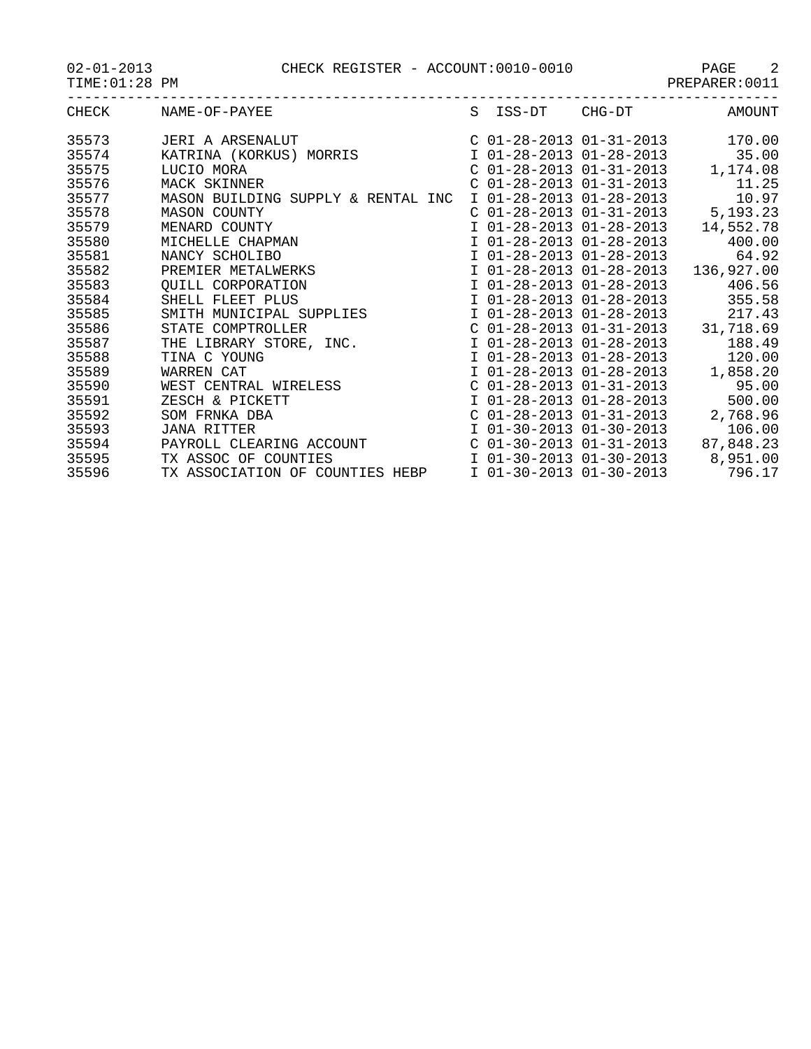PAGE CHECK REGISTER - ACCOUNT:0010-0010 PAGE 2<br>PREPARER:0011

| $02 - 01 - 2013$ |  |
|------------------|--|
| TIME: 01:28 PM   |  |

| PREPARER:001 |  |  |  |
|--------------|--|--|--|
|--------------|--|--|--|

| CHECK | NAME-OF-PAYEE                      | S ISS-DT CHG-DT                    | AMOUNT     |
|-------|------------------------------------|------------------------------------|------------|
| 35573 | JERI A ARSENALUT                   | $C$ 01-28-2013 01-31-2013 170.00   |            |
| 35574 | KATRINA (KORKUS) MORRIS            | I 01-28-2013 01-28-2013            | 35.00      |
| 35575 | LUCIO MORA                         | $C$ 01-28-2013 01-31-2013          | 1,174.08   |
| 35576 | MACK SKINNER                       | $C$ 01-28-2013 01-31-2013          | 11.25      |
| 35577 | MASON BUILDING SUPPLY & RENTAL INC | I 01-28-2013 01-28-2013            | 10.97      |
| 35578 | <b>MASON COUNTY</b>                | C 01-28-2013 01-31-2013            | 5, 193. 23 |
| 35579 | MENARD COUNTY                      | I 01-28-2013 01-28-2013            | 14,552.78  |
| 35580 | MICHELLE CHAPMAN                   | I 01-28-2013 01-28-2013            | 400.00     |
| 35581 | NANCY SCHOLIBO                     | I 01-28-2013 01-28-2013            | 64.92      |
| 35582 | PREMIER METALWERKS                 | $I$ 01-28-2013 01-28-2013          | 136,927.00 |
| 35583 | QUILL CORPORATION                  | I 01-28-2013 01-28-2013            | 406.56     |
| 35584 | SHELL FLEET PLUS                   | I 01-28-2013 01-28-2013            | 355.58     |
| 35585 | SMITH MUNICIPAL SUPPLIES           | I 01-28-2013 01-28-2013            | 217.43     |
| 35586 | STATE COMPTROLLER                  | $C$ 01-28-2013 01-31-2013          | 31,718.69  |
| 35587 | THE LIBRARY STORE, INC.            | I 01-28-2013 01-28-2013            | 188.49     |
| 35588 | TINA C YOUNG                       | I 01-28-2013 01-28-2013            | 120.00     |
| 35589 | WARREN CAT                         | I 01-28-2013 01-28-2013            | 1,858.20   |
| 35590 | WEST CENTRAL WIRELESS              | $C$ 01-28-2013 01-31-2013          | 95.00      |
| 35591 | ZESCH & PICKETT                    | I 01-28-2013 01-28-2013            | 500.00     |
| 35592 | SOM FRNKA DBA                      | $C$ 01-28-2013 01-31-2013          | 2,768.96   |
| 35593 | <b>JANA RITTER</b>                 | I 01-30-2013 01-30-2013            | 106.00     |
| 35594 | PAYROLL CLEARING ACCOUNT           | $C$ 01-30-2013 01-31-2013          | 87,848.23  |
| 35595 | TX ASSOC OF COUNTIES               | $I$ 01-30-2013 01-30-2013 8,951.00 |            |
| 35596 | TX ASSOCIATION OF COUNTIES HEBP    | I 01-30-2013 01-30-2013            | 796.17     |